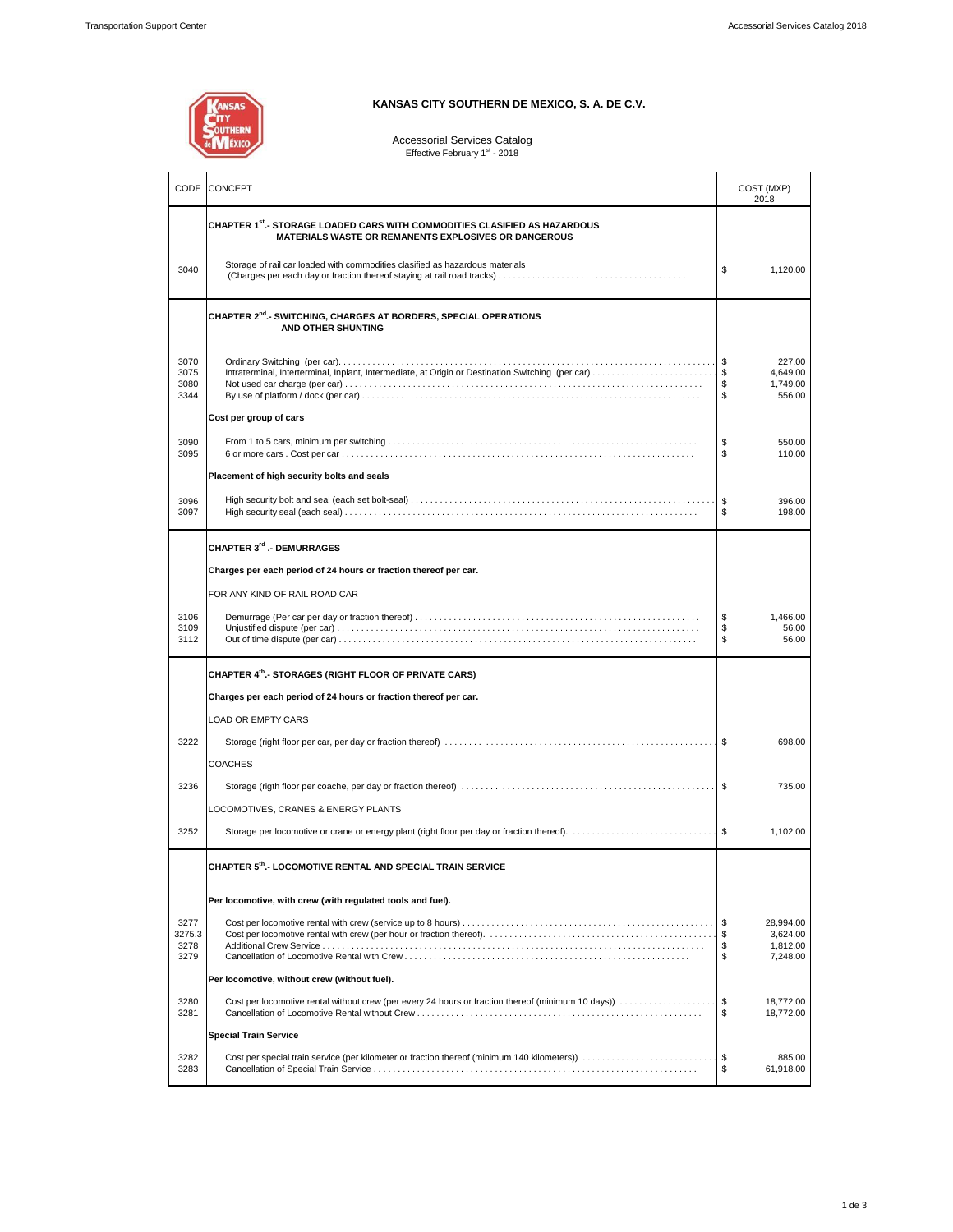**ANSAS** 

### **KANSAS CITY SOUTHERN DE MEXICO, S. A. DE C.V.**

# Accessorial Services Catalog<br>Effective February 1<sup>st</sup> - 2018

| CODE                         | <b>CONCEPT</b>                                                                                                                           | COST (MXP)<br>2018                                           |  |
|------------------------------|------------------------------------------------------------------------------------------------------------------------------------------|--------------------------------------------------------------|--|
|                              | CHAPTER 1st.- STORAGE LOADED CARS WITH COMMODITIES CLASIFIED AS HAZARDOUS<br><b>MATERIALS WASTE OR REMANENTS EXPLOSIVES OR DANGEROUS</b> |                                                              |  |
| 3040                         | Storage of rail car loaded with commodities clasified as hazardous materials                                                             | \$<br>1.120.00                                               |  |
|                              | CHAPTER 2 <sup>nd</sup> .- SWITCHING, CHARGES AT BORDERS, SPECIAL OPERATIONS<br>AND OTHER SHUNTING                                       |                                                              |  |
| 3070<br>3075<br>3080<br>3344 | Intraterminal, Interterminal, Inplant, Intermediate, at Origin or Destination Switching (per car) \$                                     | l \$<br>227.00<br>4,649.00<br>1,749.00<br>\$<br>\$<br>556.00 |  |
|                              | Cost per group of cars                                                                                                                   |                                                              |  |
| 3090<br>3095                 |                                                                                                                                          | \$<br>550.00<br>\$<br>110.00                                 |  |
|                              | Placement of high security bolts and seals                                                                                               |                                                              |  |
| 3096<br>3097                 |                                                                                                                                          | \$<br>396.00<br>\$<br>198.00                                 |  |
|                              | <b>CHAPTER 3<sup>rd</sup> .- DEMURRAGES</b>                                                                                              |                                                              |  |
|                              | Charges per each period of 24 hours or fraction thereof per car.                                                                         |                                                              |  |
|                              | FOR ANY KIND OF RAIL ROAD CAR                                                                                                            |                                                              |  |
| 3106<br>3109<br>3112         |                                                                                                                                          | \$<br>1,466.00<br>\$<br>56.00<br>$\mathbb{S}$<br>56.00       |  |
|                              | CHAPTER 4th. STORAGES (RIGHT FLOOR OF PRIVATE CARS)                                                                                      |                                                              |  |
|                              | Charges per each period of 24 hours or fraction thereof per car.                                                                         |                                                              |  |
|                              | <b>LOAD OR EMPTY CARS</b>                                                                                                                |                                                              |  |
| 3222                         |                                                                                                                                          | 698.00                                                       |  |
|                              | <b>COACHES</b>                                                                                                                           |                                                              |  |
| 3236                         |                                                                                                                                          | 735.00                                                       |  |
|                              | LOCOMOTIVES, CRANES & ENERGY PLANTS                                                                                                      |                                                              |  |
| 3252                         |                                                                                                                                          | 1,102.00                                                     |  |
|                              | CHAPTER 5th. LOCOMOTIVE RENTAL AND SPECIAL TRAIN SERVICE                                                                                 |                                                              |  |
|                              | Per locomotive, with crew (with regulated tools and fuel).                                                                               |                                                              |  |
| 3277<br>3275.3<br>3278       |                                                                                                                                          | 28,994.00<br>\$<br>3,624.00<br>\$<br>1,812.00                |  |
| 3279                         |                                                                                                                                          | \$<br>7,248.00                                               |  |
|                              | Per locomotive, without crew (without fuel).                                                                                             |                                                              |  |
| 3280<br>3281                 | Cost per locomotive rental without crew (per every 24 hours or fraction thereof (minimum 10 days))                                       | \$<br>18,772.00<br>\$<br>18,772.00                           |  |
|                              | <b>Special Train Service</b>                                                                                                             |                                                              |  |
| 3282<br>3283                 | Cost per special train service (per kilometer or fraction thereof (minimum 140 kilometers))                                              | 885.00<br>\$<br>\$<br>61,918.00                              |  |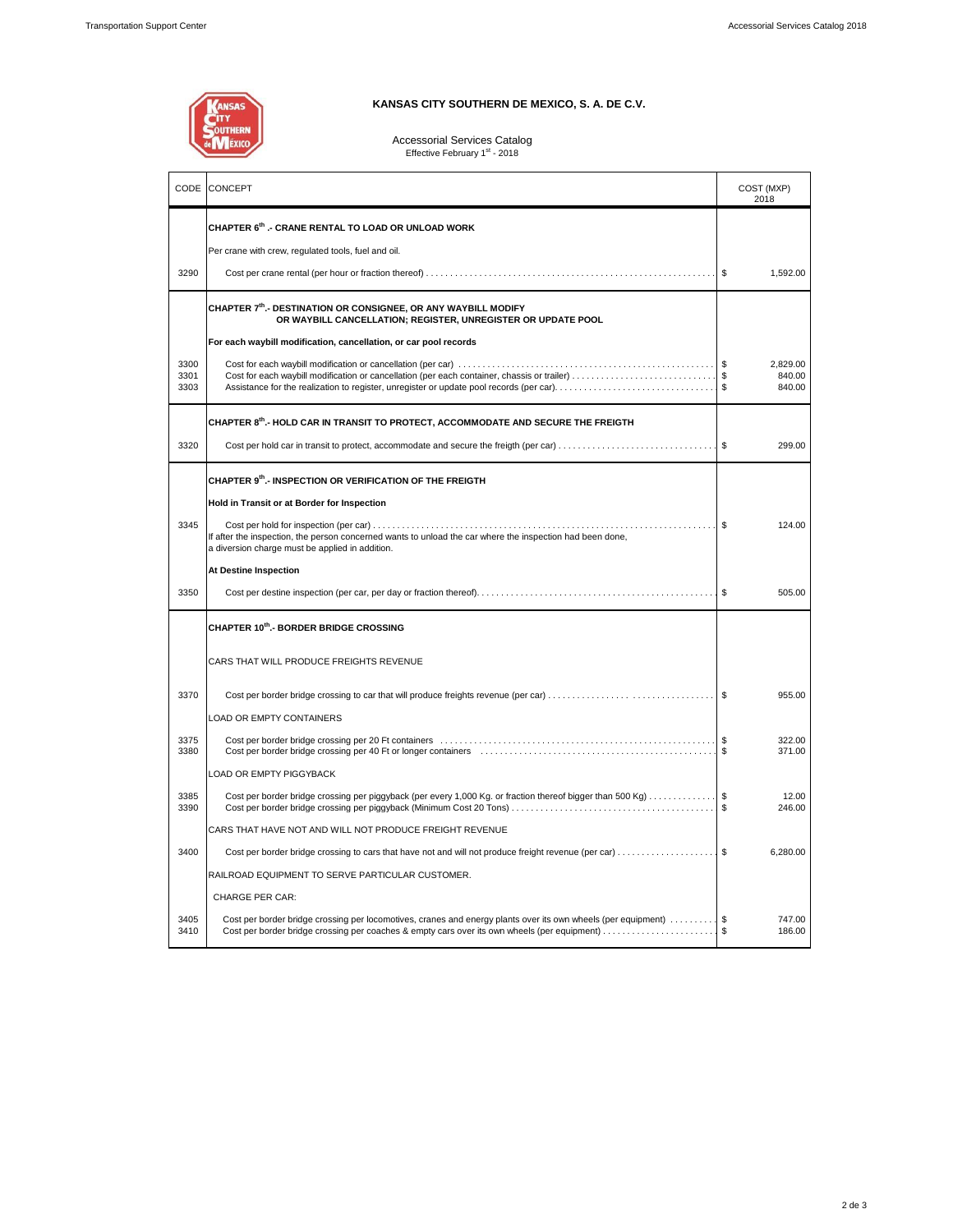

### **KANSAS CITY SOUTHERN DE MEXICO, S. A. DE C.V.**

### Accessorial Services Catalog<br>Effective February 1<sup>st</sup> - 2018

| CODE                 | CONCEPT                                                                                                                                                                                                                        | COST (MXP)<br>2018                 |  |
|----------------------|--------------------------------------------------------------------------------------------------------------------------------------------------------------------------------------------------------------------------------|------------------------------------|--|
|                      | CHAPTER 6th .- CRANE RENTAL TO LOAD OR UNLOAD WORK                                                                                                                                                                             |                                    |  |
|                      | Per crane with crew, regulated tools, fuel and oil.                                                                                                                                                                            |                                    |  |
| 3290                 |                                                                                                                                                                                                                                | \$<br>1,592.00                     |  |
|                      | CHAPTER 7th.- DESTINATION OR CONSIGNEE, OR ANY WAYBILL MODIFY<br>OR WAYBILL CANCELLATION; REGISTER, UNREGISTER OR UPDATE POOL                                                                                                  |                                    |  |
|                      | For each waybill modification, cancellation, or car pool records                                                                                                                                                               |                                    |  |
| 3300<br>3301<br>3303 | Cost for each waybill modification or cancellation (per each container, chassis or trailer) \$<br>Assistance for the realization to register, unregister or update pool records (per car)                                      | 2.829.00<br>840.00<br>-S<br>840.00 |  |
|                      | CHAPTER 8th.- HOLD CAR IN TRANSIT TO PROTECT, ACCOMMODATE AND SECURE THE FREIGTH                                                                                                                                               |                                    |  |
| 3320                 | Cost per hold car in transit to protect, accommodate and secure the freigth (per car) \$                                                                                                                                       | 299.00                             |  |
|                      | CHAPTER 9th.- INSPECTION OR VERIFICATION OF THE FREIGTH                                                                                                                                                                        |                                    |  |
|                      | Hold in Transit or at Border for Inspection                                                                                                                                                                                    |                                    |  |
| 3345                 | If after the inspection, the person concerned wants to unload the car where the inspection had been done,<br>a diversion charge must be applied in addition.                                                                   | \$<br>124.00                       |  |
|                      | <b>At Destine Inspection</b>                                                                                                                                                                                                   |                                    |  |
| 3350                 |                                                                                                                                                                                                                                | 505.00                             |  |
|                      | <b>CHAPTER 10th.- BORDER BRIDGE CROSSING</b>                                                                                                                                                                                   |                                    |  |
|                      | CARS THAT WILL PRODUCE FREIGHTS REVENUE                                                                                                                                                                                        |                                    |  |
| 3370                 |                                                                                                                                                                                                                                | 955.00                             |  |
|                      | LOAD OR EMPTY CONTAINERS                                                                                                                                                                                                       |                                    |  |
| 3375<br>3380         | Cost per border bridge crossing per 40 Ft or longer containers (entertainment containment and container the structure of the structure of the structure of the structure of the structure of the structure of the structure of | 322.00<br>371.00<br>\$             |  |
|                      | LOAD OR EMPTY PIGGYBACK                                                                                                                                                                                                        |                                    |  |
| 3385<br>3390         |                                                                                                                                                                                                                                | 12.00<br>\$<br>246.00              |  |
|                      | CARS THAT HAVE NOT AND WILL NOT PRODUCE FREIGHT REVENUE                                                                                                                                                                        |                                    |  |
| 3400                 | Cost per border bridge crossing to cars that have not and will not produce freight revenue (per car)                                                                                                                           | \$<br>6,280.00                     |  |
|                      | RAILROAD EQUIPMENT TO SERVE PARTICULAR CUSTOMER.                                                                                                                                                                               |                                    |  |
|                      | <b>CHARGE PER CAR:</b>                                                                                                                                                                                                         |                                    |  |
| 3405<br>3410         | Cost per border bridge crossing per locomotives, cranes and energy plants over its own wheels (per equipment)<br>Cost per border bridge crossing per coaches & empty cars over its own wheels (per equipment)                  | 747.00<br>186.00<br>\$             |  |